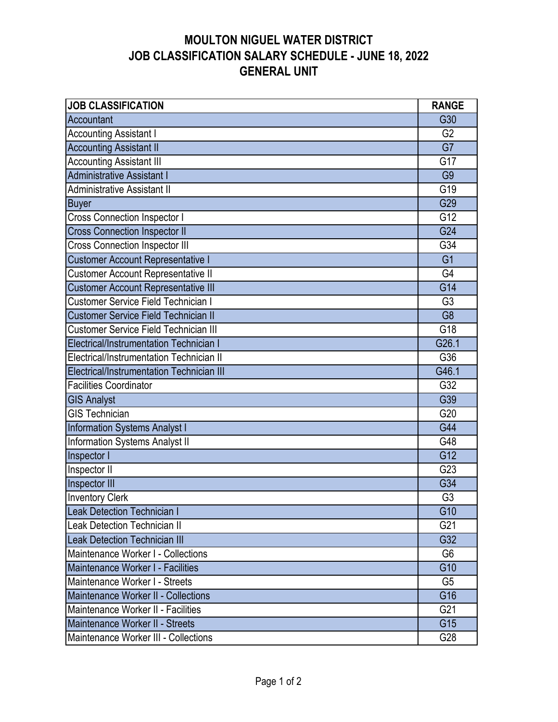| <b>JOB CLASSIFICATION</b>                    | <b>RANGE</b>   |
|----------------------------------------------|----------------|
| Accountant                                   | G30            |
| <b>Accounting Assistant I</b>                | G <sub>2</sub> |
| <b>Accounting Assistant II</b>               | G7             |
| <b>Accounting Assistant III</b>              | G17            |
| <b>Administrative Assistant I</b>            | G <sub>9</sub> |
| <b>Administrative Assistant II</b>           | G19            |
| <b>Buyer</b>                                 | G29            |
| <b>Cross Connection Inspector I</b>          | G12            |
| <b>Cross Connection Inspector II</b>         | G24            |
| <b>Cross Connection Inspector III</b>        | G34            |
| Customer Account Representative I            | G <sub>1</sub> |
| Customer Account Representative II           | G <sub>4</sub> |
| <b>Customer Account Representative III</b>   | G14            |
| <b>Customer Service Field Technician I</b>   | G <sub>3</sub> |
| <b>Customer Service Field Technician II</b>  | G <sub>8</sub> |
| <b>Customer Service Field Technician III</b> | G18            |
| Electrical/Instrumentation Technician I      | G26.1          |
| Electrical/Instrumentation Technician II     | G36            |
| Electrical/Instrumentation Technician III    | G46.1          |
| <b>Facilities Coordinator</b>                | G32            |
| <b>GIS Analyst</b>                           | G39            |
| <b>GIS Technician</b>                        | G20            |
| Information Systems Analyst I                | G44            |
| Information Systems Analyst II               | G48            |
| Inspector I                                  | G12            |
| Inspector II                                 | G23            |
| Inspector III                                | G34            |
| <b>Inventory Clerk</b>                       | G <sub>3</sub> |
| <b>Leak Detection Technician I</b>           | G10            |
| Leak Detection Technician II                 | G21            |
| <b>Leak Detection Technician III</b>         | G32            |
| Maintenance Worker I - Collections           | G <sub>6</sub> |
| Maintenance Worker I - Facilities            | G10            |
| Maintenance Worker I - Streets               | G <sub>5</sub> |
| Maintenance Worker II - Collections          | G16            |
| Maintenance Worker II - Facilities           | G21            |
| Maintenance Worker II - Streets              | G15            |
| Maintenance Worker III - Collections         | G28            |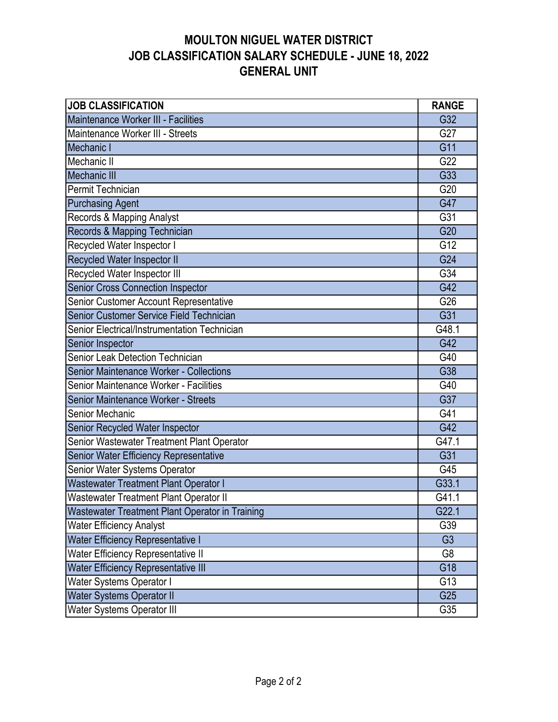| <b>JOB CLASSIFICATION</b>                       | <b>RANGE</b>     |
|-------------------------------------------------|------------------|
| Maintenance Worker III - Facilities             | G32              |
| Maintenance Worker III - Streets                | G27              |
| Mechanic I                                      | G11              |
| Mechanic II                                     | G22              |
| <b>Mechanic III</b>                             | G33              |
| Permit Technician                               | G20              |
| <b>Purchasing Agent</b>                         | G47              |
| Records & Mapping Analyst                       | $\overline{G31}$ |
| Records & Mapping Technician                    | G20              |
| Recycled Water Inspector I                      | G12              |
| Recycled Water Inspector II                     | G24              |
| Recycled Water Inspector III                    | G34              |
| Senior Cross Connection Inspector               | G42              |
| Senior Customer Account Representative          | G26              |
| Senior Customer Service Field Technician        | G31              |
| Senior Electrical/Instrumentation Technician    | G48.1            |
| Senior Inspector                                | G42              |
| Senior Leak Detection Technician                | G40              |
| Senior Maintenance Worker - Collections         | G38              |
| Senior Maintenance Worker - Facilities          | G40              |
| Senior Maintenance Worker - Streets             | G37              |
| Senior Mechanic                                 | G41              |
| Senior Recycled Water Inspector                 | G42              |
| Senior Wastewater Treatment Plant Operator      | G47.1            |
| Senior Water Efficiency Representative          | G31              |
| Senior Water Systems Operator                   | G45              |
| Wastewater Treatment Plant Operator I           | G33.1            |
| Wastewater Treatment Plant Operator II          | G41.1            |
| Wastewater Treatment Plant Operator in Training | G22.1            |
| <b>Water Efficiency Analyst</b>                 | G39              |
| Water Efficiency Representative I               | G <sub>3</sub>   |
| <b>Water Efficiency Representative II</b>       | G8               |
| <b>Water Efficiency Representative III</b>      | G18              |
| Water Systems Operator I                        | G13              |
| <b>Water Systems Operator II</b>                | G25              |
| Water Systems Operator III                      | G35              |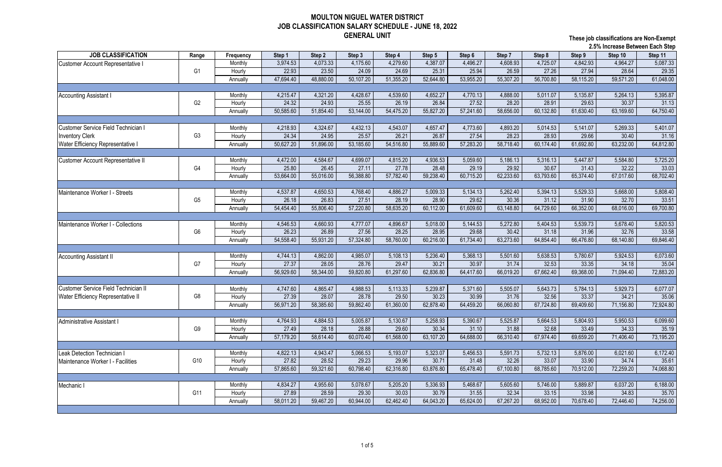|                                          |                |           |           |           |           |           |           |           |           |           |           | 2.5% increase Between Each Step |           |
|------------------------------------------|----------------|-----------|-----------|-----------|-----------|-----------|-----------|-----------|-----------|-----------|-----------|---------------------------------|-----------|
| <b>JOB CLASSIFICATION</b>                | Range          | Frequency | Step 1    | Step 2    | Step 3    | Step 4    | Step 5    | Step 6    | Step 7    | Step 8    | Step 9    | Step 10                         | Step 11   |
| <b>Customer Account Representative</b>   |                | Monthly   | 3,974.53  | 4,073.33  | 4,175.60  | 4,279.60  | 4,387.07  | 4,496.27  | 4,608.93  | 4,725.07  | 4,842.93  | 4,964.27                        | 5,087.33  |
|                                          | G <sub>1</sub> | Hourly    | 22.93     | 23.50     | 24.09     | 24.69     | 25.31     | 25.94     | 26.59     | 27.26     | 27.94     | 28.64                           | 29.35     |
|                                          |                | Annually  | 47,694.40 | 48,880.00 | 50,107.20 | 51,355.20 | 52,644.80 | 53,955.20 | 55,307.20 | 56,700.80 | 58,115.20 | 59,571.20                       | 61,048.00 |
|                                          |                |           |           |           |           |           |           |           |           |           |           |                                 |           |
| <b>Accounting Assistant I</b>            |                | Monthly   | 4,215.47  | 4,321.20  | 4,428.67  | 4,539.60  | 4,652.27  | 4,770.13  | 4,888.00  | 5,011.07  | 5,135.87  | 5,264.13                        | 5,395.87  |
|                                          | G <sub>2</sub> | Hourly    | 24.32     | 24.93     | 25.55     | 26.19     | 26.84     | 27.52     | 28.20     | 28.91     | 29.63     | 30.37                           | 31.13     |
|                                          |                | Annually  | 50,585.60 | 51,854.40 | 53,144.00 | 54,475.20 | 55,827.20 | 57,241.60 | 58,656.00 | 60,132.80 | 61,630.40 | 63,169.60                       | 64,750.40 |
|                                          |                |           |           |           |           |           |           |           |           |           |           |                                 |           |
| Customer Service Field Technician I      |                | Monthly   | 4,218.93  | 4,324.67  | 4,432.13  | 4,543.07  | 4,657.47  | 4,773.60  | 4,893.20  | 5,014.53  | 5,141.07  | 5,269.33                        | 5,401.07  |
| <b>Inventory Clerk</b>                   | G <sub>3</sub> | Hourly    | 24.34     | 24.95     | 25.57     | 26.21     | 26.87     | 27.54     | 28.23     | 28.93     | 29.66     | 30.40                           | 31.16     |
| <b>Water Efficiency Representative I</b> |                | Annually  | 50,627.20 | 51,896.00 | 53,185.60 | 54,516.80 | 55,889.60 | 57,283.20 | 58,718.40 | 60,174.40 | 61,692.80 | 63,232.00                       | 64,812.80 |
|                                          |                |           |           |           |           |           |           |           |           |           |           |                                 |           |
| Customer Account Representative II       |                | Monthly   | 4,472.00  | 4,584.67  | 4,699.07  | 4,815.20  | 4,936.53  | 5,059.60  | 5,186.13  | 5,316.13  | 5,447.87  | 5,584.80                        | 5,725.20  |
|                                          | G <sub>4</sub> | Hourly    | 25.80     | 26.45     | 27.11     | 27.78     | 28.48     | 29.19     | 29.92     | 30.67     | 31.43     | 32.22                           | 33.03     |
|                                          |                | Annually  | 53,664.00 | 55,016.00 | 56,388.80 | 57,782.40 | 59,238.40 | 60,715.20 | 62,233.60 | 63,793.60 | 65,374.40 | 67,017.60                       | 68,702.40 |
|                                          |                |           |           |           |           |           |           |           |           |           |           |                                 |           |
| Maintenance Worker I - Streets           |                | Monthly   | 4,537.87  | 4,650.53  | 4,768.40  | 4,886.27  | 5,009.33  | 5,134.13  | 5,262.40  | 5,394.13  | 5,529.33  | 5,668.00                        | 5,808.40  |
|                                          | G <sub>5</sub> | Hourly    | 26.18     | 26.83     | 27.51     | 28.19     | 28.90     | 29.62     | 30.36     | 31.12     | 31.90     | 32.70                           | 33.51     |
|                                          |                | Annually  | 54,454.40 | 55,806.40 | 57,220.80 | 58,635.20 | 60,112.00 | 61,609.60 | 63,148.80 | 64,729.60 | 66,352.00 | 68,016.00                       | 69,700.80 |
|                                          |                |           |           |           |           |           |           |           |           |           |           |                                 |           |
| Maintenance Worker I - Collections       |                | Monthly   | 4,546.53  | 4,660.93  | 4,777.07  | 4,896.67  | 5,018.00  | 5,144.53  | 5,272.80  | 5,404.53  | 5,539.73  | 5,678.40                        | 5,820.53  |
|                                          | G <sub>6</sub> | Hourly    | 26.23     | 26.89     | 27.56     | 28.25     | 28.95     | 29.68     | 30.42     | 31.18     | 31.96     | 32.76                           | 33.58     |
|                                          |                | Annually  | 54,558.40 | 55,931.20 | 57,324.80 | 58,760.00 | 60,216.00 | 61,734.40 | 63,273.60 | 64,854.40 | 66,476.80 | 68,140.80                       | 69,846.40 |
|                                          |                |           |           |           |           |           |           |           |           |           |           |                                 |           |
| <b>Accounting Assistant II</b>           |                | Monthly   | 4,744.13  | 4,862.00  | 4,985.07  | 5,108.13  | 5,236.40  | 5,368.13  | 5,501.60  | 5,638.53  | 5,780.67  | 5,924.53                        | 6,073.60  |
|                                          | G7             | Hourly    | 27.37     | 28.05     | 28.76     | 29.47     | 30.21     | 30.97     | 31.74     | 32.53     | 33.35     | 34.18                           | 35.04     |
|                                          |                | Annually  | 56,929.60 | 58,344.00 | 59,820.80 | 61,297.60 | 62,836.80 | 64,417.60 | 66,019.20 | 67,662.40 | 69,368.00 | 71,094.40                       | 72,883.20 |
|                                          |                |           |           |           |           |           |           |           |           |           |           |                                 |           |
| Customer Service Field Technician II     |                | Monthly   | 4,747.60  | 4,865.47  | 4,988.53  | 5,113.33  | 5,239.87  | 5,371.60  | 5,505.07  | 5,643.73  | 5,784.13  | 5,929.73                        | 6,077.07  |
| Water Efficiency Representative II       | G8             | Hourly    | 27.39     | 28.07     | 28.78     | 29.50     | 30.23     | 30.99     | 31.76     | 32.56     | 33.37     | 34.21                           | 35.06     |
|                                          |                | Annually  | 56,971.20 | 58,385.60 | 59,862.40 | 61,360.00 | 62,878.40 | 64,459.20 | 66,060.80 | 67,724.80 | 69,409.60 | 71,156.80                       | 72,924.80 |
|                                          |                |           |           |           |           |           |           |           |           |           |           |                                 |           |
| Administrative Assistant I               |                | Monthly   | 4,764.93  | 4,884.53  | 5,005.87  | 5,130.67  | 5,258.93  | 5,390.67  | 5,525.87  | 5,664.53  | 5,804.93  | 5,950.53                        | 6,099.60  |
|                                          | G <sub>9</sub> | Hourly    | 27.49     | 28.18     | 28.88     | 29.60     | 30.34     | 31.10     | 31.88     | 32.68     | 33.49     | 34.33                           | 35.19     |
|                                          |                | Annually  | 57,179.20 | 58,614.40 | 60,070.40 | 61,568.00 | 63,107.20 | 64,688.00 | 66,310.40 | 67,974.40 | 69,659.20 | 71,406.40                       | 73,195.20 |
|                                          |                |           |           |           |           |           |           |           |           |           |           |                                 |           |
| Leak Detection Technician                |                | Monthly   | 4,822.13  | 4,943.47  | 5,066.53  | 5,193.07  | 5,323.07  | 5,456.53  | 5,591.73  | 5,732.13  | 5,876.00  | 6,021.60                        | 6,172.40  |
|                                          | G10            | Hourly    | 27.82     | 28.52     | 29.23     | 29.96     | 30.71     | 31.48     | 32.26     | 33.07     | 33.90     | 34.74                           | 35.61     |
| Maintenance Worker I - Facilities        |                | Annually  | 57,865.60 | 59,321.60 | 60,798.40 | 62,316.80 | 63,876.80 | 65,478.40 | 67,100.80 | 68,785.60 | 70,512.00 | 72,259.20                       | 74,068.80 |
|                                          |                |           |           |           |           |           |           |           |           |           |           |                                 |           |
| Mechanic                                 |                | Monthly   | 4,834.27  | 4,955.60  | 5,078.67  | 5,205.20  | 5,336.93  | 5,468.67  | 5,605.60  | 5,746.00  | 5,889.87  | 6,037.20                        | 6,188.00  |
|                                          | G11            | Hourly    | 27.89     | 28.59     | 29.30     | 30.03     | 30.79     | 31.55     | 32.34     | 33.15     | 33.98     | 34.83                           | 35.70     |
|                                          |                | Annually  | 58,011.20 | 59,467.20 | 60,944.00 | 62,462.40 | 64,043.20 | 65,624.00 | 67,267.20 | 68,952.00 | 70,678.40 | 72,446.40                       | 74,256.00 |
|                                          |                |           |           |           |           |           |           |           |           |           |           |                                 |           |
|                                          |                |           |           |           |           |           |           |           |           |           |           |                                 |           |

**These job classifications are Non-Exempt 2.5% Increase Between Each Step**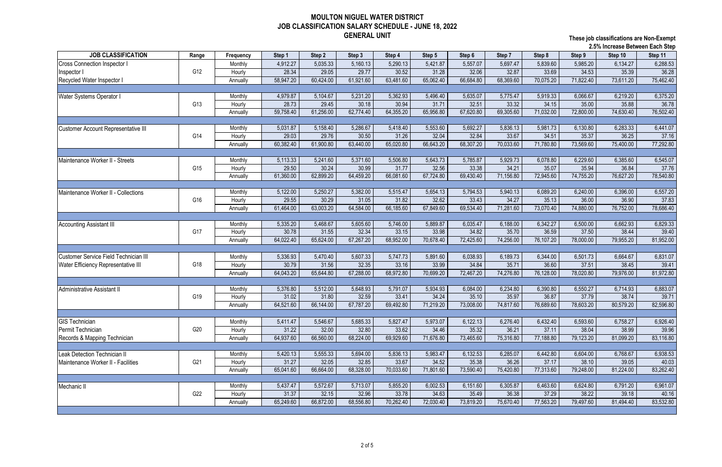**These job classifications are Non-Exempt 2.5% Increase Between Each Step**

|                                              |       | 2.5% increase Between Each Step |           |           |           |           |           |           |           |           |           |           |           |
|----------------------------------------------|-------|---------------------------------|-----------|-----------|-----------|-----------|-----------|-----------|-----------|-----------|-----------|-----------|-----------|
| <b>JOB CLASSIFICATION</b>                    | Range | Frequency                       | Step 1    | Step 2    | Step 3    | Step 4    | Step 5    | Step 6    | Step 7    | Step 8    | Step 9    | Step 10   | Step 11   |
| Cross Connection Inspector                   |       | Monthly                         | 4,912.27  | 5,035.33  | 5,160.13  | 5,290.13  | 5,421.87  | 5,557.07  | 5,697.47  | 5,839.60  | 5,985.20  | 6,134.27  | 6,288.53  |
| nspector I                                   | G12   | Hourly                          | 28.34     | 29.05     | 29.77     | 30.52     | 31.28     | 32.06     | 32.87     | 33.69     | 34.53     | 35.39     | 36.28     |
| Recycled Water Inspector I                   |       | Annually                        | 58,947.20 | 60,424.00 | 61,921.60 | 63,481.60 | 65,062.40 | 66,684.80 | 68,369.60 | 70,075.20 | 71,822.40 | 73,611.20 | 75,462.40 |
|                                              |       |                                 |           |           |           |           |           |           |           |           |           |           |           |
| Water Systems Operator I                     |       | Monthly                         | 4,979.87  | 5,104.67  | 5,231.20  | 5,362.93  | 5,496.40  | 5,635.07  | 5,775.47  | 5,919.33  | 6,066.67  | 6,219.20  | 6,375.20  |
|                                              | G13   | Hourly                          | 28.73     | 29.45     | 30.18     | 30.94     | 31.71     | 32.51     | 33.32     | 34.15     | 35.00     | 35.88     | 36.78     |
|                                              |       | Annually                        | 59,758.40 | 61,256.00 | 62,774.40 | 64,355.20 | 65,956.80 | 67,620.80 | 69,305.60 | 71,032.00 | 72,800.00 | 74,630.40 | 76,502.40 |
|                                              |       |                                 |           |           |           |           |           |           |           |           |           |           |           |
| <b>Customer Account Representative III</b>   |       | Monthly                         | 5,031.87  | 5,158.40  | 5,286.67  | 5,418.40  | 5,553.60  | 5,692.27  | 5,836.13  | 5,981.73  | 6,130.80  | 6,283.33  | 6,441.07  |
|                                              | G14   | Hourly                          | 29.03     | 29.76     | 30.50     | 31.26     | 32.04     | 32.84     | 33.67     | 34.51     | 35.37     | 36.25     | 37.16     |
|                                              |       | Annually                        | 60,382.40 | 61,900.80 | 63,440.00 | 65,020.80 | 66,643.20 | 68,307.20 | 70,033.60 | 71,780.80 | 73,569.60 | 75,400.00 | 77,292.80 |
|                                              |       |                                 |           |           |           |           |           |           |           |           |           |           |           |
| Maintenance Worker II - Streets              |       | Monthly                         | 5,113.33  | 5,241.60  | 5,371.60  | 5,506.80  | 5,643.73  | 5,785.87  | 5,929.73  | 6,078.80  | 6,229.60  | 6,385.60  | 6,545.07  |
|                                              | G15   | Hourly                          | 29.50     | 30.24     | 30.99     | 31.77     | 32.56     | 33.38     | 34.21     | 35.07     | 35.94     | 36.84     | 37.76     |
|                                              |       | Annually                        | 61,360.00 | 62,899.20 | 64,459.20 | 66,081.60 | 67,724.80 | 69,430.40 | 71,156.80 | 72,945.60 | 74,755.20 | 76,627.20 | 78,540.80 |
|                                              |       |                                 |           |           |           |           |           |           |           |           |           |           |           |
| Maintenance Worker II - Collections          |       | Monthly                         | 5,122.00  | 5,250.27  | 5,382.00  | 5,515.47  | 5,654.13  | 5,794.53  | 5,940.13  | 6,089.20  | 6,240.00  | 6,396.00  | 6,557.20  |
|                                              | G16   | Hourly                          | 29.55     | 30.29     | 31.05     | 31.82     | 32.62     | 33.43     | 34.27     | 35.13     | 36.00     | 36.90     | 37.83     |
|                                              |       | Annually                        | 61,464.00 | 63,003.20 | 64,584.00 | 66,185.60 | 67,849.60 | 69,534.40 | 71,281.60 | 73,070.40 | 74,880.00 | 76,752.00 | 78,686.40 |
|                                              |       |                                 |           |           |           |           |           |           |           |           |           |           |           |
| <b>Accounting Assistant III</b>              |       | Monthly                         | 5,335.20  | 5,468.67  | 5,605.60  | 5,746.00  | 5,889.87  | 6,035.47  | 6,188.00  | 6,342.27  | 6,500.00  | 6,662.93  | 6,829.33  |
|                                              | G17   | Hourly                          | 30.78     | 31.55     | 32.34     | 33.15     | 33.98     | 34.82     | 35.70     | 36.59     | 37.50     | 38.44     | 39.40     |
|                                              |       | Annually                        | 64,022.40 | 65,624.00 | 67,267.20 | 68,952.00 | 70,678.40 | 72,425.60 | 74,256.00 | 76,107.20 | 78,000.00 | 79,955.20 | 81,952.00 |
|                                              |       |                                 |           |           |           |           |           |           |           |           |           |           |           |
| <b>Customer Service Field Technician III</b> |       | Monthly                         | 5,336.93  | 5,470.40  | 5,607.33  | 5,747.73  | 5,891.60  | 6,038.93  | 6,189.73  | 6,344.00  | 6,501.73  | 6,664.67  | 6,831.07  |
| Water Efficiency Representative III          | G18   | Hourly                          | 30.79     | 31.56     | 32.35     | 33.16     | 33.99     | 34.84     | 35.71     | 36.60     | 37.51     | 38.45     | 39.41     |
|                                              |       | Annually                        | 64,043.20 | 65,644.80 | 67,288.00 | 68,972.80 | 70,699.20 | 72,467.20 | 74,276.80 | 76,128.00 | 78,020.80 | 79,976.00 | 81,972.80 |
|                                              |       |                                 |           |           |           |           |           |           |           |           |           |           |           |
| <b>Administrative Assistant II</b>           |       | Monthly                         | 5,376.80  | 5,512.00  | 5,648.93  | 5,791.07  | 5,934.93  | 6,084.00  | 6,234.80  | 6,390.80  | 6,550.27  | 6,714.93  | 6,883.07  |
|                                              | G19   | Hourly                          | 31.02     | 31.80     | 32.59     | 33.41     | 34.24     | 35.10     | 35.97     | 36.87     | 37.79     | 38.74     | 39.71     |
|                                              |       | Annually                        | 64,521.60 | 66,144.00 | 67,787.20 | 69,492.80 | 71,219.20 | 73,008.00 | 74,817.60 | 76,689.60 | 78,603.20 | 80,579.20 | 82,596.80 |
|                                              |       |                                 |           |           |           |           |           |           |           |           |           |           |           |
| <b>GIS Technician</b>                        |       | Monthly                         | 5,411.47  | 5,546.67  | 5,685.33  | 5,827.47  | 5,973.07  | 6,122.13  | 6,276.40  | 6,432.40  | 6,593.60  | 6,758.27  | 6,926.40  |
| Permit Technician                            | G20   | Hourly                          | 31.22     | 32.00     | 32.80     | 33.62     | 34.46     | 35.32     | 36.21     | 37.11     | 38.04     | 38.99     | 39.96     |
| Records & Mapping Technician                 |       | Annually                        | 64,937.60 | 66,560.00 | 68,224.00 | 69,929.60 | 71,676.80 | 73,465.60 | 75,316.80 | 77,188.80 | 79,123.20 | 81,099.20 | 83,116.80 |
|                                              |       |                                 |           |           |           |           |           |           |           |           |           |           |           |
| Leak Detection Technician II                 |       | Monthly                         | 5,420.13  | 5,555.33  | 5,694.00  | 5,836.13  | 5,983.47  | 6,132.53  | 6,285.07  | 6,442.80  | 6,604.00  | 6,768.67  | 6,938.53  |
| Maintenance Worker II - Facilities           | G21   | Hourly                          | 31.27     | 32.05     | 32.85     | 33.67     | 34.52     | 35.38     | 36.26     | 37.17     | 38.10     | 39.05     | 40.03     |
|                                              |       | Annually                        | 65,041.60 | 66,664.00 | 68,328.00 | 70,033.60 | 71,801.60 | 73,590.40 | 75,420.80 | 77,313.60 | 79,248.00 | 81,224.00 | 83,262.40 |
|                                              |       |                                 |           |           |           |           |           |           |           |           |           |           |           |
| Mechanic II                                  |       | Monthly                         | 5,437.47  | 5,572.67  | 5,713.07  | 5,855.20  | 6,002.53  | 6,151.60  | 6,305.87  | 6,463.60  | 6,624.80  | 6,791.20  | 6,961.07  |
|                                              | G22   | Hourly                          | 31.37     | 32.15     | 32.96     | 33.78     | 34.63     | 35.49     | 36.38     | 37.29     | 38.22     | 39.18     | 40.16     |
|                                              |       | Annually                        | 65,249.60 | 66,872.00 | 68,556.80 | 70,262.40 | 72,030.40 | 73,819.20 | 75,670.40 | 77,563.20 | 79,497.60 | 81,494.40 | 83,532.80 |
|                                              |       |                                 |           |           |           |           |           |           |           |           |           |           |           |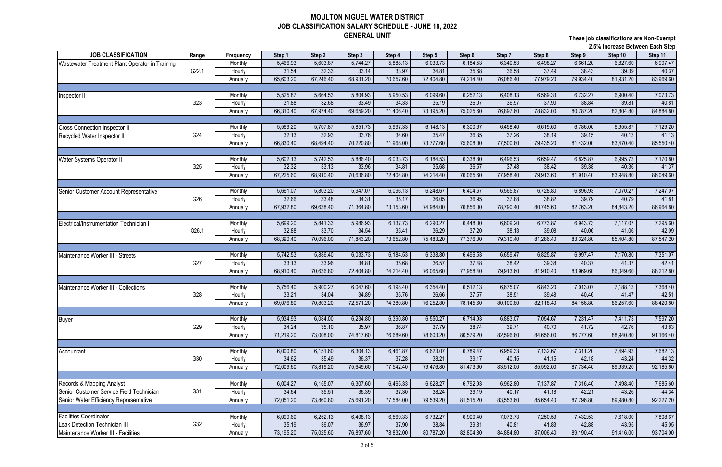**These job classifications are Non-Exempt 2.5% Increase Between Each Step**

|                                                 |                 |           |           |           |           |           |           |           |           |           | 2.5% Increase Between Each Step |           |                         |  |  |
|-------------------------------------------------|-----------------|-----------|-----------|-----------|-----------|-----------|-----------|-----------|-----------|-----------|---------------------------------|-----------|-------------------------|--|--|
| <b>JOB CLASSIFICATION</b>                       | Range           | Frequency | Step 1    | Step 2    | Step 3    | Step 4    | Step 5    | Step 6    | Step 7    | Step 8    | Step 9                          | Step 10   | Step 11                 |  |  |
| Wastewater Treatment Plant Operator in Training |                 | Monthly   | 5,466.93  | 5,603.87  | 5,744.27  | 5,888.13  | 6,033.73  | 6,184.53  | 6,340.53  | 6,498.27  | 6,661.20                        | 6,827.60  | 6,997.47                |  |  |
|                                                 | G22.1           | Hourly    | 31.54     | 32.33     | 33.14     | 33.97     | 34.81     | 35.68     | 36.58     | 37.49     | 38.43                           | 39.39     | 40.37                   |  |  |
|                                                 |                 | Annually  | 65,603.20 | 67,246.40 | 68,931.20 | 70,657.60 | 72,404.80 | 74,214.40 | 76,086.40 | 77,979.20 | 79,934.40                       | 81,931.20 | 83,969.60               |  |  |
|                                                 |                 |           |           |           |           |           |           |           |           |           |                                 |           |                         |  |  |
| Inspector II                                    |                 | Monthly   | 5,525.87  | 5,664.53  | 5,804.93  | 5,950.53  | 6,099.60  | 6,252.13  | 6,408.13  | 6,569.33  | 6,732.27                        | 6,900.40  | 7,073.73                |  |  |
|                                                 | G23             | Hourly    | 31.88     | 32.68     | 33.49     | 34.33     | 35.19     | 36.07     | 36.97     | 37.90     | 38.84                           | 39.81     | 40.81                   |  |  |
|                                                 |                 | Annually  | 66,310.40 | 67,974.40 | 69,659.20 | 71,406.40 | 73,195.20 | 75,025.60 | 76,897.60 | 78,832.00 | 80,787.20                       | 82,804.80 | 84,884.80               |  |  |
|                                                 |                 |           |           |           |           |           |           |           |           |           |                                 |           |                         |  |  |
| <b>Cross Connection Inspector II</b>            |                 | Monthly   | 5,569.20  | 5,707.87  | 5,851.73  | 5,997.33  | 6,148.13  | 6,300.67  | 6,458.40  | 6,619.60  | 6,786.00                        | 6,955.87  | 7,129.20                |  |  |
| Recycled Water Inspector II                     | G24             | Hourly    | 32.13     | 32.93     | 33.76     | 34.60     | 35.47     | 36.35     | 37.26     | 38.19     | 39.15                           | 40.13     | 41.13                   |  |  |
|                                                 |                 | Annually  | 66,830.40 | 68,494.40 | 70,220.80 | 71,968.00 | 73,777.60 | 75,608.00 | 77,500.80 | 79,435.20 | 81,432.00                       | 83,470.40 | 85,550.40               |  |  |
|                                                 |                 |           |           |           |           |           |           |           |           |           |                                 |           |                         |  |  |
| Water Systems Operator II                       |                 | Monthly   | 5,602.13  | 5,742.53  | 5,886.40  | 6,033.73  | 6,184.53  | 6,338.80  | 6,496.53  | 6,659.47  | 6,825.87                        | 6,995.73  | 7,170.80                |  |  |
|                                                 | G <sub>25</sub> | Hourly    | 32.32     | 33.13     | 33.96     | 34.81     | 35.68     | 36.57     | 37.48     | 38.42     | 39.38                           | 40.36     | 41.37                   |  |  |
|                                                 |                 | Annually  | 67,225.60 | 68,910.40 | 70,636.80 | 72,404.80 | 74,214.40 | 76,065.60 | 77,958.40 | 79,913.60 | 81,910.40                       | 83,948.80 | 86,049.60               |  |  |
|                                                 |                 |           |           |           |           |           |           |           |           |           |                                 |           |                         |  |  |
| Senior Customer Account Representative          |                 | Monthly   | 5,661.07  | 5,803.20  | 5,947.07  | 6,096.13  | 6,248.67  | 6,404.67  | 6,565.87  | 6,728.80  | 6,896.93                        | 7,070.27  | 7,247.07                |  |  |
|                                                 | G26             | Hourly    | 32.66     | 33.48     | 34.31     | 35.17     | 36.05     | 36.95     | 37.88     | 38.82     | 39.79                           | 40.79     | 41.81                   |  |  |
|                                                 |                 | Annually  | 67,932.80 | 69,638.40 | 71,364.80 | 73,153.60 | 74,984.00 | 76,856.00 | 78,790.40 | 80,745.60 | 82,763.20                       | 84,843.20 | 86,964.80               |  |  |
|                                                 |                 |           |           |           |           |           |           |           |           |           |                                 |           |                         |  |  |
|                                                 |                 | Monthly   | 5,699.20  | 5,841.33  | 5,986.93  | 6,137.73  | 6,290.27  | 6,448.00  | 6,609.20  | 6,773.87  | 6,943.73                        | 7,117.07  | 7,295.60                |  |  |
| Electrical/Instrumentation Technician I         | G26.1           | Hourly    | 32.88     | 33.70     | 34.54     | 35.41     | 36.29     | 37.20     | 38.13     | 39.08     | 40.06                           | 41.06     | 42.09                   |  |  |
|                                                 |                 |           | 68,390.40 | 70,096.00 | 71,843.20 | 73,652.80 | 75,483.20 | 77,376.00 | 79,310.40 | 81,286.40 | 83,324.80                       | 85,404.80 |                         |  |  |
|                                                 |                 | Annually  |           |           |           |           |           |           |           |           |                                 |           | 87,547.20               |  |  |
|                                                 |                 |           |           |           |           |           |           |           |           |           |                                 |           |                         |  |  |
| Maintenance Worker III - Streets                | G27             | Monthly   | 5,742.53  | 5,886.40  | 6,033.73  | 6,184.53  | 6,338.80  | 6,496.53  | 6,659.47  | 6,825.87  | 6,997.47                        | 7,170.80  | 7,351.07                |  |  |
|                                                 |                 | Hourly    | 33.13     | 33.96     | 34.81     | 35.68     | 36.57     | 37.48     | 38.42     | 39.38     | 40.37                           | 41.37     | 42.41                   |  |  |
|                                                 |                 | Annually  | 68,910.40 | 70,636.80 | 72,404.80 | 74,214.40 | 76,065.60 | 77,958.40 | 79,913.60 | 81,910.40 | 83,969.60                       | 86,049.60 | 88,212.80               |  |  |
|                                                 |                 |           |           |           |           |           |           |           |           |           |                                 |           |                         |  |  |
| Maintenance Worker III - Collections            |                 | Monthly   | 5,756.40  | 5,900.27  | 6,047.60  | 6,198.40  | 6,354.40  | 6,512.13  | 6,675.07  | 6,843.20  | 7,013.07                        | 7,188.13  | 7,368.40                |  |  |
|                                                 | G28             | Hourly    | 33.21     | 34.04     | 34.89     | 35.76     | 36.66     | 37.57     | 38.51     | 39.48     | 40.46                           | 41.47     | 42.51                   |  |  |
|                                                 |                 | Annually  | 69,076.80 | 70,803.20 | 72,571.20 | 74,380.80 | 76,252.80 | 78,145.60 | 80,100.80 | 82,118.40 | 84,156.80                       | 86,257.60 | 88,420.80               |  |  |
|                                                 |                 |           |           |           |           |           |           |           |           |           |                                 |           |                         |  |  |
| <b>Buyer</b>                                    |                 | Monthly   | 5,934.93  | 6,084.00  | 6,234.80  | 6,390.80  | 6,550.27  | 6,714.93  | 6,883.07  | 7,054.67  | 7,231.47                        | 7,411.73  | 7,597.20                |  |  |
|                                                 | G29             | Hourly    | 34.24     | 35.10     | 35.97     | 36.87     | 37.79     | 38.74     | 39.71     | 40.70     | 41.72                           | 42.76     | 43.83                   |  |  |
|                                                 |                 | Annually  | 71,219.20 | 73,008.00 | 74,817.60 | 76,689.60 | 78,603.20 | 80,579.20 | 82,596.80 | 84,656.00 | 86,777.60                       | 88,940.80 | 91,166.40               |  |  |
|                                                 |                 |           |           |           |           |           |           |           |           |           |                                 |           |                         |  |  |
| Accountant                                      |                 | Monthly   | 6,000.80  | 6,151.60  | 6,304.13  | 6,461.87  | 6,623.07  | 6,789.47  | 6,959.33  | 7,132.67  | 7,311.20                        | 7,494.93  | 7,682.13                |  |  |
|                                                 | G30             | Hourly    | 34.62     | 35.49     | 36.37     | 37.28     | 38.21     | 39.17     | 40.15     | 41.15     | 42.18                           | 43.24     | 44.32                   |  |  |
|                                                 |                 | Annually  | 72,009.60 | 73,819.20 | 75,649.60 | 77,542.40 | 79,476.80 | 81,473.60 | 83,512.00 | 85,592.00 | 87,734.40                       | 89,939.20 | 92,185.60               |  |  |
|                                                 |                 |           |           |           |           |           |           |           |           |           |                                 |           |                         |  |  |
| Records & Mapping Analyst                       |                 | Monthly   | 6,004.27  | 6,155.07  | 6,307.60  | 6,465.33  | 6,628.27  | 6,792.93  | 6,962.80  | 7,137.87  | 7,316.40                        | 7,498.40  | 7,685.60                |  |  |
| Senior Customer Service Field Technician        | G31             | Hourly    | 34.64     | 35.51     | 36.39     | 37.30     | 38.24     | 39.19     | 40.17     | 41.18     | 42.21                           | 43.26     | 44.34                   |  |  |
| Senior Water Efficiency Representative          |                 | Annually  | 72,051.20 | 73,860.80 | 75,691.20 | 77,584.00 | 79,539.20 | 81,515.20 | 83,553.60 | 85,654.40 | 87,796.80                       | 89,980.80 | $\overline{92}, 227.20$ |  |  |
|                                                 |                 |           |           |           |           |           |           |           |           |           |                                 |           |                         |  |  |
| <b>Facilities Coordinator</b>                   |                 | Monthly   | 6,099.60  | 6,252.13  | 6,408.13  | 6,569.33  | 6,732.27  | 6,900.40  | 7,073.73  | 7,250.53  | 7,432.53                        | 7,618.00  | 7,808.67                |  |  |
| Leak Detection Technician III                   | G32             | Hourly    | 35.19     | 36.07     | 36.97     | 37.90     | 38.84     | 39.81     | 40.81     | 41.83     | 42.88                           | 43.95     | 45.05                   |  |  |
| Maintenance Worker III - Facilities             |                 | Annually  | 73,195.20 | 75,025.60 | 76,897.60 | 78,832.00 | 80,787.20 | 82,804.80 | 84,884.80 | 87,006.40 | 89,190.40                       | 91,416.00 | 93,704.00               |  |  |
|                                                 |                 |           |           |           |           |           |           |           |           |           |                                 |           |                         |  |  |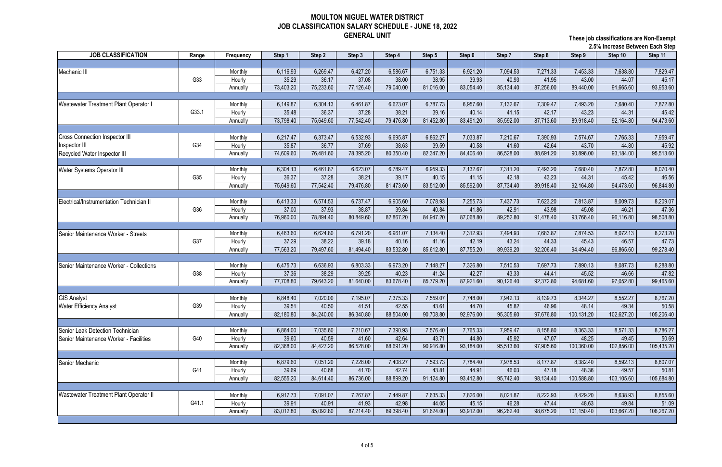**These job classifications are Non-Exempt 2.5% Increase Between Each Step**

|                                               |       |           |           |           |           |           |           |           |           |           |            | 2.3% increase Detween Each Step |            |  |
|-----------------------------------------------|-------|-----------|-----------|-----------|-----------|-----------|-----------|-----------|-----------|-----------|------------|---------------------------------|------------|--|
| <b>JOB CLASSIFICATION</b>                     | Range | Frequency | Step 1    | Step 2    | Step 3    | Step 4    | Step 5    | Step 6    | Step 7    | Step 8    | Step 9     | Step 10                         | Step 11    |  |
|                                               |       |           |           |           |           |           |           |           |           |           |            |                                 |            |  |
| Mechanic III                                  |       | Monthly   | 6,116.93  | 6,269.47  | 6,427.20  | 6,586.67  | 6,751.33  | 6,921.20  | 7,094.53  | 7,271.33  | 7,453.33   | 7,638.80                        | 7,829.47   |  |
|                                               | G33   | Hourly    | 35.29     | 36.17     | 37.08     | 38.00     | 38.95     | 39.93     | 40.93     | 41.95     | 43.00      | 44.07                           | 45.17      |  |
|                                               |       | Annually  | 73,403.20 | 75,233.60 | 77,126.40 | 79,040.00 | 81,016.00 | 83,054.40 | 85,134.40 | 87,256.00 | 89,440.00  | 91,665.60                       | 93,953.60  |  |
|                                               |       |           |           |           |           |           |           |           |           |           |            |                                 |            |  |
| Wastewater Treatment Plant Operator I         |       | Monthly   | 6,149.87  | 6,304.13  | 6,461.87  | 6,623.07  | 6,787.73  | 6,957.60  | 7,132.67  | 7,309.47  | 7,493.20   | 7,680.40                        | 7,872.80   |  |
|                                               | G33.1 | Hourly    | 35.48     | 36.37     | 37.28     | 38.21     | 39.16     | 40.14     | 41.15     | 42.17     | 43.23      | 44.31                           | 45.42      |  |
|                                               |       | Annually  | 73,798.40 | 75,649.60 | 77,542.40 | 79,476.80 | 81,452.80 | 83,491.20 | 85,592.00 | 87,713.60 | 89,918.40  | 92,164.80                       | 94,473.60  |  |
|                                               |       |           |           |           |           |           |           |           |           |           |            |                                 |            |  |
| <b>Cross Connection Inspector III</b>         |       | Monthly   | 6,217.47  | 6,373.47  | 6,532.93  | 6,695.87  | 6,862.27  | 7,033.87  | 7,210.67  | 7,390.93  | 7,574.67   | 7,765.33                        | 7,959.47   |  |
| nspector III                                  | G34   | Hourly    | 35.87     | 36.77     | 37.69     | 38.63     | 39.59     | 40.58     | 41.60     | 42.64     | 43.70      | 44.80                           | 45.92      |  |
| Recycled Water Inspector III                  |       | Annually  | 74,609.60 | 76,481.60 | 78,395.20 | 80,350.40 | 82,347.20 | 84,406.40 | 86,528.00 | 88,691.20 | 90,896.00  | 93,184.00                       | 95,513.60  |  |
|                                               |       |           |           |           |           |           |           |           |           |           |            |                                 |            |  |
| <b>Water Systems Operator III</b>             |       | Monthly   | 6,304.13  | 6,461.87  | 6,623.07  | 6,789.47  | 6,959.33  | 7,132.67  | 7,311.20  | 7,493.20  | 7,680.40   | 7,872.80                        | 8,070.40   |  |
|                                               | G35   | Hourly    | 36.37     | 37.28     | 38.21     | 39.17     | 40.15     | 41.15     | 42.18     | 43.23     | 44.31      | 45.42                           | 46.56      |  |
|                                               |       | Annually  | 75,649.60 | 77,542.40 | 79,476.80 | 81,473.60 | 83,512.00 | 85,592.00 | 87,734.40 | 89,918.40 | 92,164.80  | 94,473.60                       | 96,844.80  |  |
|                                               |       |           |           |           |           |           |           |           |           |           |            |                                 |            |  |
| Electrical/Instrumentation Technician I       |       | Monthly   | 6,413.33  | 6,574.53  | 6,737.47  | 6,905.60  | 7,078.93  | 7,255.73  | 7,437.73  | 7,623.20  | 7,813.87   | 8,009.73                        | 8,209.07   |  |
|                                               | G36   | Hourly    | 37.00     | 37.93     | 38.87     | 39.84     | 40.84     | 41.86     | 42.91     | 43.98     | 45.08      | 46.21                           | 47.36      |  |
|                                               |       | Annually  | 76,960.00 | 78,894.40 | 80,849.60 | 82,867.20 | 84,947.20 | 87,068.80 | 89,252.80 | 91,478.40 | 93,766.40  | 96,116.80                       | 98,508.80  |  |
|                                               |       |           |           |           |           |           |           |           |           |           |            |                                 |            |  |
| Senior Maintenance Worker - Streets           |       | Monthly   | 6,463.60  | 6,624.80  | 6,791.20  | 6,961.07  | 7,134.40  | 7,312.93  | 7,494.93  | 7,683.87  | 7,874.53   | 8,072.13                        | 8,273.20   |  |
|                                               | G37   | Hourly    | 37.29     | 38.22     | 39.18     | 40.16     | 41.16     | 42.19     | 43.24     | 44.33     | 45.43      | 46.57                           | 47.73      |  |
|                                               |       | Annually  | 77,563.20 | 79,497.60 | 81,494.40 | 83,532.80 | 85,612.80 | 87,755.20 | 89,939.20 | 92,206.40 | 94,494.40  | 96,865.60                       | 99,278.40  |  |
|                                               |       |           |           |           |           |           |           |           |           |           |            |                                 |            |  |
| Senior Maintenance Worker - Collections       |       | Monthly   | 6,475.73  | 6,636.93  | 6,803.33  | 6,973.20  | 7,148.27  | 7,326.80  | 7,510.53  | 7,697.73  | 7,890.13   | 8,087.73                        | 8,288.80   |  |
|                                               | G38   | Hourly    | 37.36     | 38.29     | 39.25     | 40.23     | 41.24     | 42.27     | 43.33     | 44.41     | 45.52      | 46.66                           | 47.82      |  |
|                                               |       | Annually  | 77,708.80 | 79,643.20 | 81,640.00 | 83,678.40 | 85,779.20 | 87,921.60 | 90,126.40 | 92,372.80 | 94,681.60  | 97,052.80                       | 99,465.60  |  |
|                                               |       |           |           |           |           |           |           |           |           |           |            |                                 |            |  |
| <b>GIS Analyst</b>                            |       | Monthly   | 6,848.40  | 7,020.00  | 7,195.07  | 7,375.33  | 7,559.07  | 7,748.00  | 7,942.13  | 8,139.73  | 8,344.27   | 8,552.27                        | 8,767.20   |  |
| <b>Water Efficiency Analyst</b>               | G39   | Hourly    | 39.51     | 40.50     | 41.51     | 42.55     | 43.61     | 44.70     | 45.82     | 46.96     | 48.14      | 49.34                           | 50.58      |  |
|                                               |       | Annually  | 82,180.80 | 84,240.00 | 86,340.80 | 88,504.00 | 90,708.80 | 92,976.00 | 95,305.60 | 97,676.80 | 100,131.20 | 102,627.20                      | 105,206.40 |  |
|                                               |       |           |           |           |           |           |           |           |           |           |            |                                 |            |  |
| Senior Leak Detection Technician              |       | Monthly   | 6,864.00  | 7,035.60  | 7,210.67  | 7,390.93  | 7,576.40  | 7,765.33  | 7,959.47  | 8,158.80  | 8,363.33   | 8,571.33                        | 8,786.27   |  |
| Senior Maintenance Worker - Facilities        | G40   | Hourly    | 39.60     | 40.59     | 41.60     | 42.64     | 43.71     | 44.80     | 45.92     | 47.07     | 48.25      | 49.45                           | 50.69      |  |
|                                               |       | Annually  | 82,368.00 | 84,427.20 | 86,528.00 | 88,691.20 | 90,916.80 | 93,184.00 | 95,513.60 | 97,905.60 | 100,360.00 | 102,856.00                      | 105,435.20 |  |
|                                               |       |           |           |           |           |           |           |           |           |           |            |                                 |            |  |
| Senior Mechanic                               |       | Monthly   | 6,879.60  | 7,051.20  | 7,228.00  | 7,408.27  | 7,593.73  | 7,784.40  | 7,978.53  | 8,177.87  | 8,382.40   | 8,592.13                        | 8,807.07   |  |
|                                               | G41   | Hourly    | 39.69     | 40.68     | 41.70     | 42.74     | 43.81     | 44.91     | 46.03     | 47.18     | 48.36      | 49.57                           | 50.81      |  |
|                                               |       | Annually  | 82,555.20 | 84,614.40 | 86,736.00 | 88,899.20 | 91,124.80 | 93,412.80 | 95,742.40 | 98,134.40 | 100,588.80 | 103,105.60                      | 105,684.80 |  |
|                                               |       |           |           |           |           |           |           |           |           |           |            |                                 |            |  |
| <b>Wastewater Treatment Plant Operator II</b> |       | Monthly   | 6,917.73  | 7,091.07  | 7,267.87  | 7,449.87  | 7,635.33  | 7,826.00  | 8,021.87  | 8,222.93  | 8,429.20   | 8,638.93                        | 8,855.60   |  |
|                                               | G41.1 | Hourly    | 39.91     | 40.91     | 41.93     | 42.98     | 44.05     | 45.15     | 46.28     | 47.44     | 48.63      | 49.84                           | 51.09      |  |
|                                               |       | Annually  | 83,012.80 | 85,092.80 | 87,214.40 | 89,398.40 | 91,624.00 | 93,912.00 | 96,262.40 | 98,675.20 | 101,150.40 | 103,667.20                      | 106,267.20 |  |
|                                               |       |           |           |           |           |           |           |           |           |           |            |                                 |            |  |